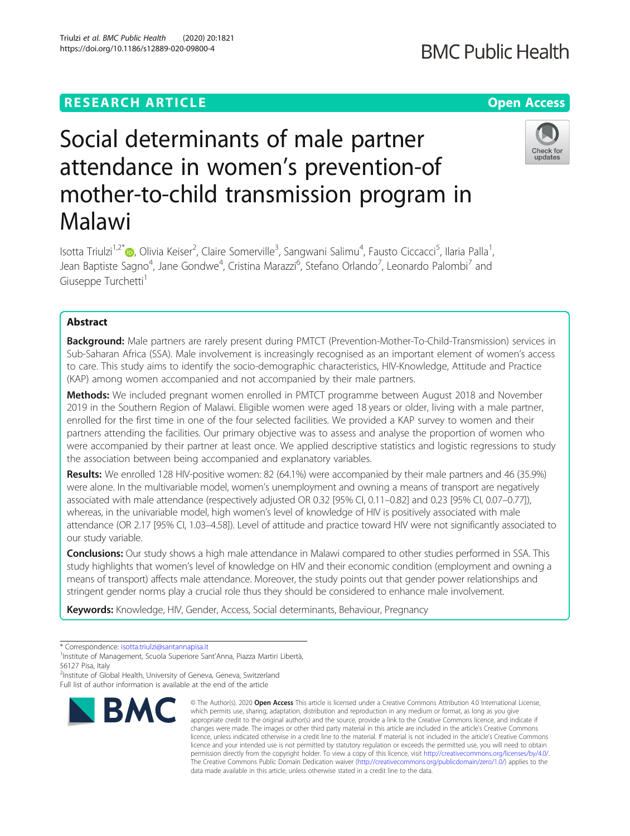# **RESEARCH ARTICLE Example 2014 12:30 The Contract of Contract ACCESS**

# Social determinants of male partner attendance in women's prevention-of mother-to-child transmission program in Malawi

Isotta Triulzi<sup>1,2[\\*](http://orcid.org/0000-0002-1421-7863)</sup>®, Olivia Keiser<sup>2</sup>, Claire Somerville<sup>3</sup>, Sangwani Salimu<sup>4</sup>, Fausto Ciccacci<sup>5</sup>, Ilaria Palla<sup>1</sup> , Jean Baptiste Sagno<sup>4</sup>, Jane Gondwe<sup>4</sup>, Cristina Marazzi<sup>6</sup>, Stefano Orlando<sup>7</sup>, Leonardo Palombi<sup>7</sup> and Giuseppe Turchetti<sup>1</sup>

## Abstract

Background: Male partners are rarely present during PMTCT (Prevention-Mother-To-Child-Transmission) services in Sub-Saharan Africa (SSA). Male involvement is increasingly recognised as an important element of women's access to care. This study aims to identify the socio-demographic characteristics, HIV-Knowledge, Attitude and Practice (KAP) among women accompanied and not accompanied by their male partners.

**Methods:** We included pregnant women enrolled in PMTCT programme between August 2018 and November 2019 in the Southern Region of Malawi. Eligible women were aged 18 years or older, living with a male partner, enrolled for the first time in one of the four selected facilities. We provided a KAP survey to women and their partners attending the facilities. Our primary objective was to assess and analyse the proportion of women who were accompanied by their partner at least once. We applied descriptive statistics and logistic regressions to study the association between being accompanied and explanatory variables.

Results: We enrolled 128 HIV-positive women: 82 (64.1%) were accompanied by their male partners and 46 (35.9%) were alone. In the multivariable model, women's unemployment and owning a means of transport are negatively associated with male attendance (respectively adjusted OR 0.32 [95% CI, 0.11–0.82] and 0.23 [95% CI, 0.07–0.77]), whereas, in the univariable model, high women's level of knowledge of HIV is positively associated with male attendance (OR 2.17 [95% CI, 1.03–4.58]). Level of attitude and practice toward HIV were not significantly associated to our study variable.

Conclusions: Our study shows a high male attendance in Malawi compared to other studies performed in SSA. This study highlights that women's level of knowledge on HIV and their economic condition (employment and owning a means of transport) affects male attendance. Moreover, the study points out that gender power relationships and stringent gender norms play a crucial role thus they should be considered to enhance male involvement.

Keywords: Knowledge, HIV, Gender, Access, Social determinants, Behaviour, Pregnancy

<sup>2</sup>Institute of Global Health, University of Geneva, Geneva, Switzerland Full list of author information is available at the end of the article







<sup>\*</sup> Correspondence: [isotta.triulzi@santannapisa.it](mailto:isotta.triulzi@santannapisa.it)<br><sup>1</sup>Institute of Management, Scuola Superiore Sant'Anna, Piazza Martiri Libertà, 56127 Pisa, Italy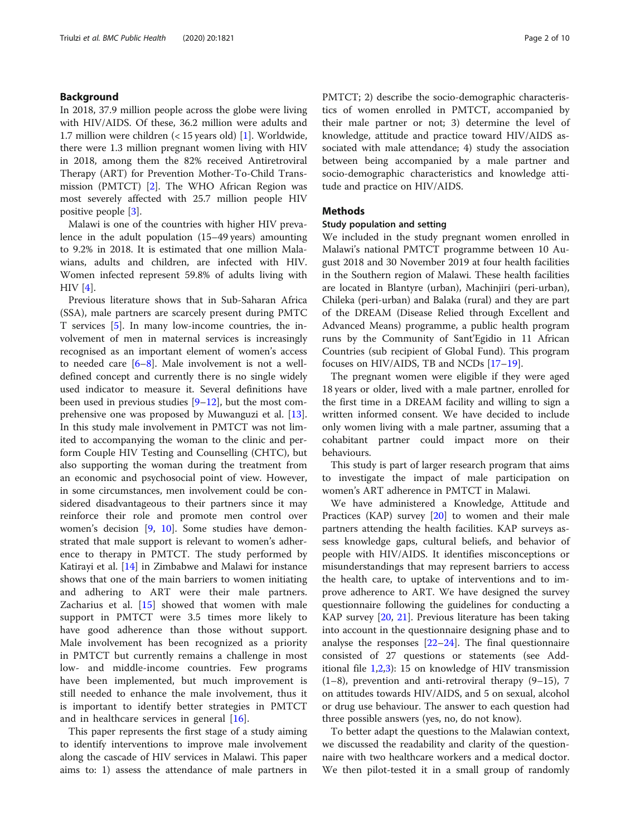#### Background

In 2018, 37.9 million people across the globe were living with HIV/AIDS. Of these, 36.2 million were adults and 1.7 million were children (< 15 years old) [[1\]](#page-7-0). Worldwide, there were 1.3 million pregnant women living with HIV in 2018, among them the 82% received Antiretroviral Therapy (ART) for Prevention Mother-To-Child Transmission (PMTCT) [[2](#page-7-0)]. The WHO African Region was most severely affected with 25.7 million people HIV positive people [[3\]](#page-7-0).

Malawi is one of the countries with higher HIV prevalence in the adult population (15–49 years) amounting to 9.2% in 2018. It is estimated that one million Malawians, adults and children, are infected with HIV. Women infected represent 59.8% of adults living with HIV [\[4](#page-7-0)].

Previous literature shows that in Sub-Saharan Africa (SSA), male partners are scarcely present during PMTC T services [[5](#page-7-0)]. In many low-income countries, the involvement of men in maternal services is increasingly recognised as an important element of women's access to needed care  $[6-8]$  $[6-8]$  $[6-8]$  $[6-8]$  $[6-8]$ . Male involvement is not a welldefined concept and currently there is no single widely used indicator to measure it. Several definitions have been used in previous studies [\[9](#page-7-0)–[12\]](#page-7-0), but the most comprehensive one was proposed by Muwanguzi et al. [\[13](#page-7-0)]. In this study male involvement in PMTCT was not limited to accompanying the woman to the clinic and perform Couple HIV Testing and Counselling (CHTC), but also supporting the woman during the treatment from an economic and psychosocial point of view. However, in some circumstances, men involvement could be considered disadvantageous to their partners since it may reinforce their role and promote men control over women's decision [[9,](#page-7-0) [10](#page-7-0)]. Some studies have demonstrated that male support is relevant to women's adherence to therapy in PMTCT. The study performed by Katirayi et al. [[14\]](#page-7-0) in Zimbabwe and Malawi for instance shows that one of the main barriers to women initiating and adhering to ART were their male partners. Zacharius et al. [\[15](#page-8-0)] showed that women with male support in PMTCT were 3.5 times more likely to have good adherence than those without support. Male involvement has been recognized as a priority in PMTCT but currently remains a challenge in most low- and middle-income countries. Few programs have been implemented, but much improvement is still needed to enhance the male involvement, thus it is important to identify better strategies in PMTCT and in healthcare services in general [\[16](#page-8-0)].

This paper represents the first stage of a study aiming to identify interventions to improve male involvement along the cascade of HIV services in Malawi. This paper aims to: 1) assess the attendance of male partners in PMTCT; 2) describe the socio-demographic characteristics of women enrolled in PMTCT, accompanied by their male partner or not; 3) determine the level of knowledge, attitude and practice toward HIV/AIDS associated with male attendance; 4) study the association between being accompanied by a male partner and socio-demographic characteristics and knowledge attitude and practice on HIV/AIDS.

### **Methods**

#### Study population and setting

We included in the study pregnant women enrolled in Malawi's national PMTCT programme between 10 August 2018 and 30 November 2019 at four health facilities in the Southern region of Malawi. These health facilities are located in Blantyre (urban), Machinjiri (peri-urban), Chileka (peri-urban) and Balaka (rural) and they are part of the DREAM (Disease Relied through Excellent and Advanced Means) programme, a public health program runs by the Community of Sant'Egidio in 11 African Countries (sub recipient of Global Fund). This program focuses on HIV/AIDS, TB and NCDs [[17](#page-8-0)–[19](#page-8-0)].

The pregnant women were eligible if they were aged 18 years or older, lived with a male partner, enrolled for the first time in a DREAM facility and willing to sign a written informed consent. We have decided to include only women living with a male partner, assuming that a cohabitant partner could impact more on their behaviours.

This study is part of larger research program that aims to investigate the impact of male participation on women's ART adherence in PMTCT in Malawi.

We have administered a Knowledge, Attitude and Practices (KAP) survey [[20\]](#page-8-0) to women and their male partners attending the health facilities. KAP surveys assess knowledge gaps, cultural beliefs, and behavior of people with HIV/AIDS. It identifies misconceptions or misunderstandings that may represent barriers to access the health care, to uptake of interventions and to improve adherence to ART. We have designed the survey questionnaire following the guidelines for conducting a KAP survey [\[20,](#page-8-0) [21](#page-8-0)]. Previous literature has been taking into account in the questionnaire designing phase and to analyse the responses  $[22-24]$  $[22-24]$  $[22-24]$  $[22-24]$ . The final questionnaire consisted of 27 questions or statements (see Additional file [1,2,3](#page-7-0)): 15 on knowledge of HIV transmission (1–8), prevention and anti-retroviral therapy (9–15), 7 on attitudes towards HIV/AIDS, and 5 on sexual, alcohol or drug use behaviour. The answer to each question had three possible answers (yes, no, do not know).

To better adapt the questions to the Malawian context, we discussed the readability and clarity of the questionnaire with two healthcare workers and a medical doctor. We then pilot-tested it in a small group of randomly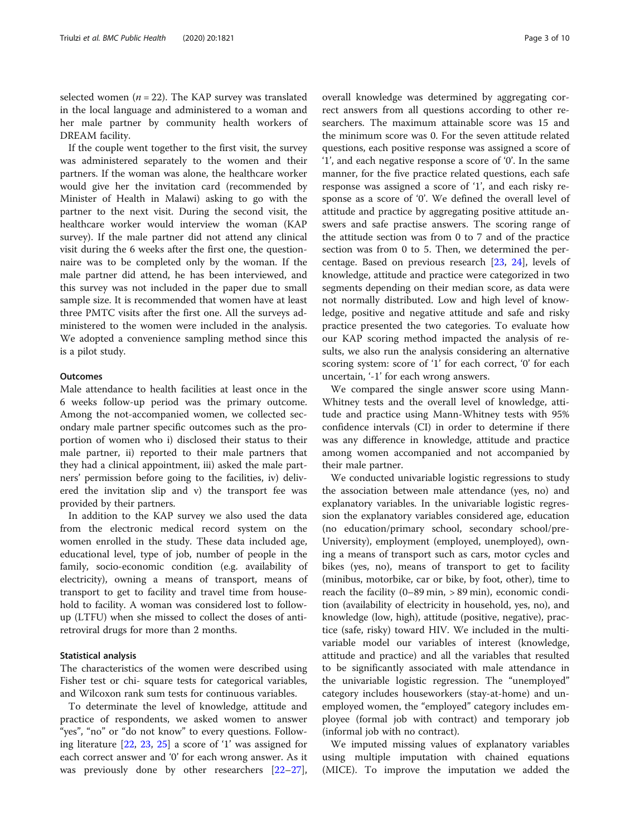selected women ( $n = 22$ ). The KAP survey was translated in the local language and administered to a woman and her male partner by community health workers of DREAM facility.

If the couple went together to the first visit, the survey was administered separately to the women and their partners. If the woman was alone, the healthcare worker would give her the invitation card (recommended by Minister of Health in Malawi) asking to go with the partner to the next visit. During the second visit, the healthcare worker would interview the woman (KAP survey). If the male partner did not attend any clinical visit during the 6 weeks after the first one, the questionnaire was to be completed only by the woman. If the male partner did attend, he has been interviewed, and this survey was not included in the paper due to small sample size. It is recommended that women have at least three PMTC visits after the first one. All the surveys administered to the women were included in the analysis. We adopted a convenience sampling method since this is a pilot study.

#### **Outcomes**

Male attendance to health facilities at least once in the 6 weeks follow-up period was the primary outcome. Among the not-accompanied women, we collected secondary male partner specific outcomes such as the proportion of women who i) disclosed their status to their male partner, ii) reported to their male partners that they had a clinical appointment, iii) asked the male partners' permission before going to the facilities, iv) delivered the invitation slip and v) the transport fee was provided by their partners.

In addition to the KAP survey we also used the data from the electronic medical record system on the women enrolled in the study. These data included age, educational level, type of job, number of people in the family, socio-economic condition (e.g. availability of electricity), owning a means of transport, means of transport to get to facility and travel time from household to facility. A woman was considered lost to followup (LTFU) when she missed to collect the doses of antiretroviral drugs for more than 2 months.

#### Statistical analysis

The characteristics of the women were described using Fisher test or chi- square tests for categorical variables, and Wilcoxon rank sum tests for continuous variables.

To determinate the level of knowledge, attitude and practice of respondents, we asked women to answer "yes", "no" or "do not know" to every questions. Following literature [\[22,](#page-8-0) [23,](#page-8-0) [25](#page-8-0)] a score of '1' was assigned for each correct answer and '0' for each wrong answer. As it was previously done by other researchers [[22](#page-8-0)–[27](#page-8-0)],

overall knowledge was determined by aggregating correct answers from all questions according to other researchers. The maximum attainable score was 15 and the minimum score was 0. For the seven attitude related questions, each positive response was assigned a score of '1', and each negative response a score of '0'. In the same manner, for the five practice related questions, each safe response was assigned a score of '1', and each risky response as a score of '0'. We defined the overall level of attitude and practice by aggregating positive attitude answers and safe practise answers. The scoring range of the attitude section was from 0 to 7 and of the practice section was from 0 to 5. Then, we determined the percentage. Based on previous research [\[23](#page-8-0), [24\]](#page-8-0), levels of knowledge, attitude and practice were categorized in two segments depending on their median score, as data were not normally distributed. Low and high level of knowledge, positive and negative attitude and safe and risky practice presented the two categories. To evaluate how our KAP scoring method impacted the analysis of results, we also run the analysis considering an alternative scoring system: score of '1' for each correct, '0' for each uncertain, '-1' for each wrong answers.

We compared the single answer score using Mann-Whitney tests and the overall level of knowledge, attitude and practice using Mann-Whitney tests with 95% confidence intervals (CI) in order to determine if there was any difference in knowledge, attitude and practice among women accompanied and not accompanied by their male partner.

We conducted univariable logistic regressions to study the association between male attendance (yes, no) and explanatory variables. In the univariable logistic regression the explanatory variables considered age, education (no education/primary school, secondary school/pre-University), employment (employed, unemployed), owning a means of transport such as cars, motor cycles and bikes (yes, no), means of transport to get to facility (minibus, motorbike, car or bike, by foot, other), time to reach the facility (0–89 min, > 89 min), economic condition (availability of electricity in household, yes, no), and knowledge (low, high), attitude (positive, negative), practice (safe, risky) toward HIV. We included in the multivariable model our variables of interest (knowledge, attitude and practice) and all the variables that resulted to be significantly associated with male attendance in the univariable logistic regression. The "unemployed" category includes houseworkers (stay-at-home) and unemployed women, the "employed" category includes employee (formal job with contract) and temporary job (informal job with no contract).

We imputed missing values of explanatory variables using multiple imputation with chained equations (MICE). To improve the imputation we added the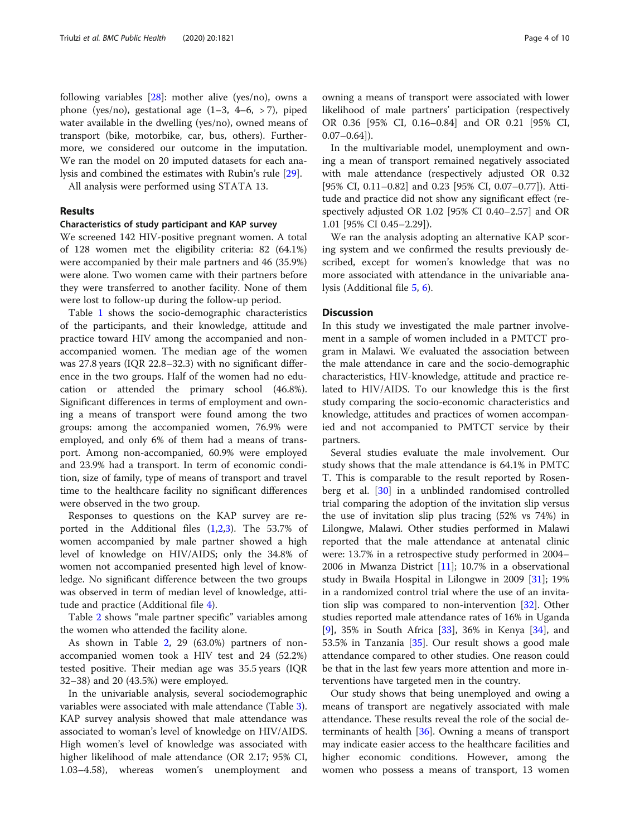following variables [[28](#page-8-0)]: mother alive (yes/no), owns a phone (yes/no), gestational age (1–3, 4–6, > 7), piped water available in the dwelling (yes/no), owned means of transport (bike, motorbike, car, bus, others). Furthermore, we considered our outcome in the imputation. We ran the model on 20 imputed datasets for each analysis and combined the estimates with Rubin's rule [[29](#page-8-0)].

All analysis were performed using STATA 13.

#### Results

#### Characteristics of study participant and KAP survey

We screened 142 HIV-positive pregnant women. A total of 128 women met the eligibility criteria: 82 (64.1%) were accompanied by their male partners and 46 (35.9%) were alone. Two women came with their partners before they were transferred to another facility. None of them were lost to follow-up during the follow-up period.

Table [1](#page-4-0) shows the socio-demographic characteristics of the participants, and their knowledge, attitude and practice toward HIV among the accompanied and nonaccompanied women. The median age of the women was 27.8 years (IQR 22.8–32.3) with no significant difference in the two groups. Half of the women had no education or attended the primary school (46.8%). Significant differences in terms of employment and owning a means of transport were found among the two groups: among the accompanied women, 76.9% were employed, and only 6% of them had a means of transport. Among non-accompanied, 60.9% were employed and 23.9% had a transport. In term of economic condition, size of family, type of means of transport and travel time to the healthcare facility no significant differences were observed in the two group.

Responses to questions on the KAP survey are reported in the Additional files  $(1,2,3)$  $(1,2,3)$ . The 53.7% of women accompanied by male partner showed a high level of knowledge on HIV/AIDS; only the 34.8% of women not accompanied presented high level of knowledge. No significant difference between the two groups was observed in term of median level of knowledge, attitude and practice (Additional file [4](#page-7-0)).

Table [2](#page-5-0) shows "male partner specific" variables among the women who attended the facility alone.

As shown in Table [2,](#page-5-0) 29 (63.0%) partners of nonaccompanied women took a HIV test and 24 (52.2%) tested positive. Their median age was 35.5 years (IQR 32–38) and 20 (43.5%) were employed.

In the univariable analysis, several sociodemographic variables were associated with male attendance (Table [3](#page-5-0)). KAP survey analysis showed that male attendance was associated to woman's level of knowledge on HIV/AIDS. High women's level of knowledge was associated with higher likelihood of male attendance (OR 2.17; 95% CI, 1.03–4.58), whereas women's unemployment and

owning a means of transport were associated with lower likelihood of male partners' participation (respectively OR 0.36 [95% CI, 0.16–0.84] and OR 0.21 [95% CI,  $0.07-0.64$ ]).

In the multivariable model, unemployment and owning a mean of transport remained negatively associated with male attendance (respectively adjusted OR 0.32 [95% CI, 0.11–0.82] and 0.23 [95% CI, 0.07–0.77]). Attitude and practice did not show any significant effect (respectively adjusted OR 1.02 [95% CI 0.40–2.57] and OR 1.01 [95% CI 0.45–2.29]).

We ran the analysis adopting an alternative KAP scoring system and we confirmed the results previously described, except for women's knowledge that was no more associated with attendance in the univariable analysis (Additional file [5](#page-7-0), [6](#page-7-0)).

#### **Discussion**

In this study we investigated the male partner involvement in a sample of women included in a PMTCT program in Malawi. We evaluated the association between the male attendance in care and the socio-demographic characteristics, HIV-knowledge, attitude and practice related to HIV/AIDS. To our knowledge this is the first study comparing the socio-economic characteristics and knowledge, attitudes and practices of women accompanied and not accompanied to PMTCT service by their partners.

Several studies evaluate the male involvement. Our study shows that the male attendance is 64.1% in PMTC T. This is comparable to the result reported by Rosenberg et al. [\[30](#page-8-0)] in a unblinded randomised controlled trial comparing the adoption of the invitation slip versus the use of invitation slip plus tracing (52% vs 74%) in Lilongwe, Malawi. Other studies performed in Malawi reported that the male attendance at antenatal clinic were: 13.7% in a retrospective study performed in 2004– 2006 in Mwanza District  $[11]$  $[11]$ ; 10.7% in a observational study in Bwaila Hospital in Lilongwe in 2009 [[31\]](#page-8-0); 19% in a randomized control trial where the use of an invitation slip was compared to non-intervention [\[32](#page-8-0)]. Other studies reported male attendance rates of 16% in Uganda [[9\]](#page-7-0), 35% in South Africa [\[33](#page-8-0)], 36% in Kenya [[34\]](#page-8-0), and 53.5% in Tanzania [[35](#page-8-0)]. Our result shows a good male attendance compared to other studies. One reason could be that in the last few years more attention and more interventions have targeted men in the country.

Our study shows that being unemployed and owing a means of transport are negatively associated with male attendance. These results reveal the role of the social determinants of health [\[36](#page-8-0)]. Owning a means of transport may indicate easier access to the healthcare facilities and higher economic conditions. However, among the women who possess a means of transport, 13 women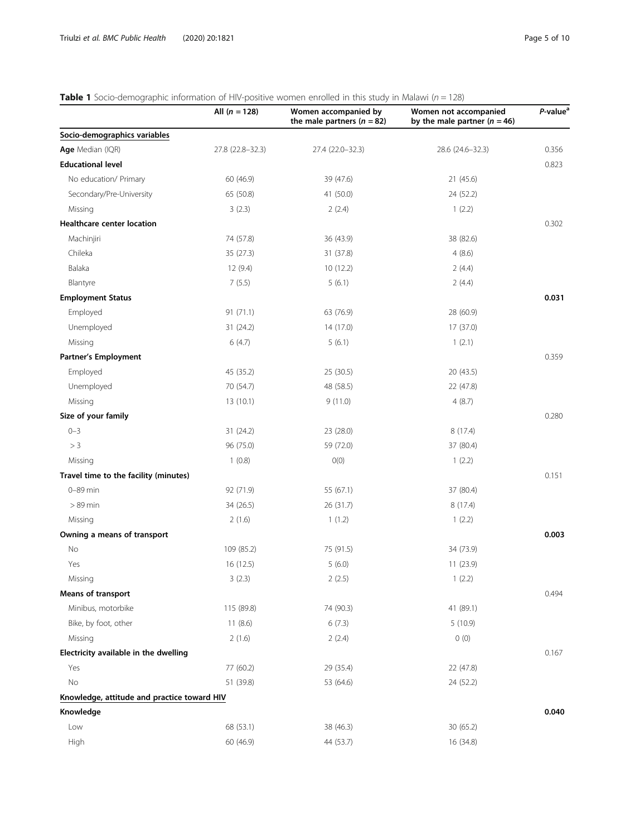# <span id="page-4-0"></span>**Table 1** Socio-demographic information of HIV-positive women enrolled in this study in Malawi ( $n = 128$ )

| Socio-demographics variables<br>Age Median (IQR)<br>27.8 (22.8-32.3)<br>27.4 (22.0-32.3)<br>28.6 (24.6-32.3)<br><b>Educational level</b><br>No education/ Primary<br>60 (46.9)<br>39 (47.6)<br>21(45.6)<br>Secondary/Pre-University<br>65 (50.8)<br>41 (50.0)<br>24 (52.2)<br>Missing<br>3(2.3)<br>2(2.4)<br>1(2.2)<br><b>Healthcare center location</b><br>74 (57.8)<br>38 (82.6)<br>Machinjiri<br>36 (43.9)<br>Chileka<br>4(8.6)<br>35 (27.3)<br>31 (37.8)<br>Balaka<br>12(9.4)<br>10(12.2)<br>2(4.4)<br>7(5.5)<br>5(6.1)<br>Blantyre<br>2(4.4)<br><b>Employment Status</b><br>Employed<br>91(71.1)<br>63 (76.9)<br>28 (60.9)<br>Unemployed<br>14 (17.0)<br>17 (37.0)<br>31 (24.2)<br>6(4.7)<br>Missing<br>5(6.1)<br>1(2.1)<br><b>Partner's Employment</b><br>Employed<br>45 (35.2)<br>25 (30.5)<br>20 (43.5)<br>48 (58.5)<br>Unemployed<br>70 (54.7)<br>22 (47.8)<br>9(11.0)<br>Missing<br>13 (10.1)<br>4(8.7) |                     | All $(n = 128)$ | Women accompanied by<br>the male partners ( $n = 82$ ) | Women not accompanied<br>by the male partner ( $n = 46$ ) | P-value <sup>a</sup> |
|-------------------------------------------------------------------------------------------------------------------------------------------------------------------------------------------------------------------------------------------------------------------------------------------------------------------------------------------------------------------------------------------------------------------------------------------------------------------------------------------------------------------------------------------------------------------------------------------------------------------------------------------------------------------------------------------------------------------------------------------------------------------------------------------------------------------------------------------------------------------------------------------------------------------|---------------------|-----------------|--------------------------------------------------------|-----------------------------------------------------------|----------------------|
|                                                                                                                                                                                                                                                                                                                                                                                                                                                                                                                                                                                                                                                                                                                                                                                                                                                                                                                   |                     |                 |                                                        |                                                           |                      |
|                                                                                                                                                                                                                                                                                                                                                                                                                                                                                                                                                                                                                                                                                                                                                                                                                                                                                                                   |                     |                 |                                                        |                                                           | 0.356                |
|                                                                                                                                                                                                                                                                                                                                                                                                                                                                                                                                                                                                                                                                                                                                                                                                                                                                                                                   |                     |                 |                                                        |                                                           | 0.823                |
|                                                                                                                                                                                                                                                                                                                                                                                                                                                                                                                                                                                                                                                                                                                                                                                                                                                                                                                   |                     |                 |                                                        |                                                           |                      |
|                                                                                                                                                                                                                                                                                                                                                                                                                                                                                                                                                                                                                                                                                                                                                                                                                                                                                                                   |                     |                 |                                                        |                                                           |                      |
|                                                                                                                                                                                                                                                                                                                                                                                                                                                                                                                                                                                                                                                                                                                                                                                                                                                                                                                   |                     |                 |                                                        |                                                           |                      |
|                                                                                                                                                                                                                                                                                                                                                                                                                                                                                                                                                                                                                                                                                                                                                                                                                                                                                                                   |                     |                 |                                                        |                                                           | 0.302                |
|                                                                                                                                                                                                                                                                                                                                                                                                                                                                                                                                                                                                                                                                                                                                                                                                                                                                                                                   |                     |                 |                                                        |                                                           |                      |
|                                                                                                                                                                                                                                                                                                                                                                                                                                                                                                                                                                                                                                                                                                                                                                                                                                                                                                                   |                     |                 |                                                        |                                                           |                      |
|                                                                                                                                                                                                                                                                                                                                                                                                                                                                                                                                                                                                                                                                                                                                                                                                                                                                                                                   |                     |                 |                                                        |                                                           |                      |
|                                                                                                                                                                                                                                                                                                                                                                                                                                                                                                                                                                                                                                                                                                                                                                                                                                                                                                                   |                     |                 |                                                        |                                                           |                      |
|                                                                                                                                                                                                                                                                                                                                                                                                                                                                                                                                                                                                                                                                                                                                                                                                                                                                                                                   |                     |                 |                                                        |                                                           | 0.031                |
|                                                                                                                                                                                                                                                                                                                                                                                                                                                                                                                                                                                                                                                                                                                                                                                                                                                                                                                   |                     |                 |                                                        |                                                           |                      |
|                                                                                                                                                                                                                                                                                                                                                                                                                                                                                                                                                                                                                                                                                                                                                                                                                                                                                                                   |                     |                 |                                                        |                                                           |                      |
|                                                                                                                                                                                                                                                                                                                                                                                                                                                                                                                                                                                                                                                                                                                                                                                                                                                                                                                   |                     |                 |                                                        |                                                           |                      |
|                                                                                                                                                                                                                                                                                                                                                                                                                                                                                                                                                                                                                                                                                                                                                                                                                                                                                                                   |                     |                 |                                                        |                                                           | 0.359                |
|                                                                                                                                                                                                                                                                                                                                                                                                                                                                                                                                                                                                                                                                                                                                                                                                                                                                                                                   |                     |                 |                                                        |                                                           |                      |
|                                                                                                                                                                                                                                                                                                                                                                                                                                                                                                                                                                                                                                                                                                                                                                                                                                                                                                                   |                     |                 |                                                        |                                                           |                      |
|                                                                                                                                                                                                                                                                                                                                                                                                                                                                                                                                                                                                                                                                                                                                                                                                                                                                                                                   |                     |                 |                                                        |                                                           |                      |
|                                                                                                                                                                                                                                                                                                                                                                                                                                                                                                                                                                                                                                                                                                                                                                                                                                                                                                                   | Size of your family |                 |                                                        |                                                           | 0.280                |
| $0 - 3$<br>31 (24.2)<br>23 (28.0)<br>8(17.4)                                                                                                                                                                                                                                                                                                                                                                                                                                                                                                                                                                                                                                                                                                                                                                                                                                                                      |                     |                 |                                                        |                                                           |                      |
| > 3<br>96 (75.0)<br>59 (72.0)<br>37 (80.4)                                                                                                                                                                                                                                                                                                                                                                                                                                                                                                                                                                                                                                                                                                                                                                                                                                                                        |                     |                 |                                                        |                                                           |                      |
| 1(0.8)<br>O(0)<br>Missing<br>1(2.2)                                                                                                                                                                                                                                                                                                                                                                                                                                                                                                                                                                                                                                                                                                                                                                                                                                                                               |                     |                 |                                                        |                                                           |                      |
| Travel time to the facility (minutes)                                                                                                                                                                                                                                                                                                                                                                                                                                                                                                                                                                                                                                                                                                                                                                                                                                                                             |                     |                 |                                                        |                                                           | 0.151                |
| $0 - 89$ min<br>92 (71.9)<br>55 (67.1)<br>37 (80.4)                                                                                                                                                                                                                                                                                                                                                                                                                                                                                                                                                                                                                                                                                                                                                                                                                                                               |                     |                 |                                                        |                                                           |                      |
| $>89$ min<br>26 (31.7)<br>34 (26.5)<br>8(17.4)                                                                                                                                                                                                                                                                                                                                                                                                                                                                                                                                                                                                                                                                                                                                                                                                                                                                    |                     |                 |                                                        |                                                           |                      |
| 2(1.6)<br>1(1.2)<br>1(2.2)<br>Missing                                                                                                                                                                                                                                                                                                                                                                                                                                                                                                                                                                                                                                                                                                                                                                                                                                                                             |                     |                 |                                                        |                                                           |                      |
| Owning a means of transport                                                                                                                                                                                                                                                                                                                                                                                                                                                                                                                                                                                                                                                                                                                                                                                                                                                                                       |                     |                 |                                                        |                                                           | 0.003                |
| No<br>109 (85.2)<br>75 (91.5)<br>34 (73.9)                                                                                                                                                                                                                                                                                                                                                                                                                                                                                                                                                                                                                                                                                                                                                                                                                                                                        |                     |                 |                                                        |                                                           |                      |
| 16 (12.5)<br>Yes<br>5(6.0)<br>11 (23.9)                                                                                                                                                                                                                                                                                                                                                                                                                                                                                                                                                                                                                                                                                                                                                                                                                                                                           |                     |                 |                                                        |                                                           |                      |
| 3(2.3)<br>2(2.5)<br>1(2.2)<br>Missing                                                                                                                                                                                                                                                                                                                                                                                                                                                                                                                                                                                                                                                                                                                                                                                                                                                                             |                     |                 |                                                        |                                                           |                      |
| <b>Means of transport</b>                                                                                                                                                                                                                                                                                                                                                                                                                                                                                                                                                                                                                                                                                                                                                                                                                                                                                         |                     |                 |                                                        |                                                           | 0.494                |
| Minibus, motorbike<br>115 (89.8)<br>74 (90.3)<br>41 (89.1)                                                                                                                                                                                                                                                                                                                                                                                                                                                                                                                                                                                                                                                                                                                                                                                                                                                        |                     |                 |                                                        |                                                           |                      |
| Bike, by foot, other<br>11(8.6)<br>6(7.3)<br>5(10.9)                                                                                                                                                                                                                                                                                                                                                                                                                                                                                                                                                                                                                                                                                                                                                                                                                                                              |                     |                 |                                                        |                                                           |                      |
| 0(0)<br>2(1.6)<br>2(2.4)<br>Missing                                                                                                                                                                                                                                                                                                                                                                                                                                                                                                                                                                                                                                                                                                                                                                                                                                                                               |                     |                 |                                                        |                                                           |                      |
| Electricity available in the dwelling                                                                                                                                                                                                                                                                                                                                                                                                                                                                                                                                                                                                                                                                                                                                                                                                                                                                             |                     |                 |                                                        |                                                           | 0.167                |
| 77 (60.2)<br>29 (35.4)<br>22 (47.8)<br>Yes                                                                                                                                                                                                                                                                                                                                                                                                                                                                                                                                                                                                                                                                                                                                                                                                                                                                        |                     |                 |                                                        |                                                           |                      |
| No<br>51 (39.8)<br>53 (64.6)<br>24 (52.2)                                                                                                                                                                                                                                                                                                                                                                                                                                                                                                                                                                                                                                                                                                                                                                                                                                                                         |                     |                 |                                                        |                                                           |                      |
| Knowledge, attitude and practice toward HIV                                                                                                                                                                                                                                                                                                                                                                                                                                                                                                                                                                                                                                                                                                                                                                                                                                                                       |                     |                 |                                                        |                                                           |                      |
| Knowledge                                                                                                                                                                                                                                                                                                                                                                                                                                                                                                                                                                                                                                                                                                                                                                                                                                                                                                         |                     |                 |                                                        |                                                           | 0.040                |
| 68 (53.1)<br>Low<br>38 (46.3)<br>30(65.2)                                                                                                                                                                                                                                                                                                                                                                                                                                                                                                                                                                                                                                                                                                                                                                                                                                                                         |                     |                 |                                                        |                                                           |                      |
| High<br>60 (46.9)<br>44 (53.7)<br>16 (34.8)                                                                                                                                                                                                                                                                                                                                                                                                                                                                                                                                                                                                                                                                                                                                                                                                                                                                       |                     |                 |                                                        |                                                           |                      |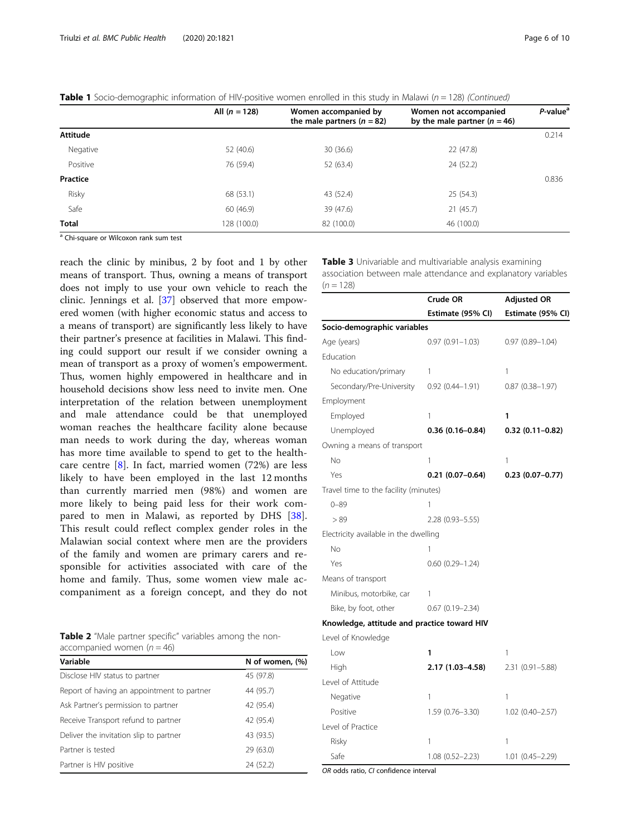|                 | All $(n = 128)$ | Women accompanied by<br>the male partners $(n = 82)$ | Women not accompanied<br>by the male partner $(n = 46)$ | P-value <sup>a</sup> |
|-----------------|-----------------|------------------------------------------------------|---------------------------------------------------------|----------------------|
| <b>Attitude</b> |                 |                                                      |                                                         | 0.214                |
| Negative        | 52 (40.6)       | 30(36.6)                                             | 22 (47.8)                                               |                      |
| Positive        | 76 (59.4)       | 52 (63.4)                                            | 24 (52.2)                                               |                      |
| Practice        |                 |                                                      |                                                         | 0.836                |
| Risky           | 68 (53.1)       | 43 (52.4)                                            | 25(54.3)                                                |                      |
| Safe            | 60 (46.9)       | 39 (47.6)                                            | 21(45.7)                                                |                      |
| <b>Total</b>    | 128 (100.0)     | 82 (100.0)                                           | 46 (100.0)                                              |                      |

<span id="page-5-0"></span>

|  | Table 1 Socio-demographic information of HIV-positive women enrolled in this study in Malawi ( $n = 128$ ) (Continued) |  |  |
|--|------------------------------------------------------------------------------------------------------------------------|--|--|
|  |                                                                                                                        |  |  |

<sup>a</sup> Chi-square or Wilcoxon rank sum test

reach the clinic by minibus, 2 by foot and 1 by other means of transport. Thus, owning a means of transport does not imply to use your own vehicle to reach the clinic. Jennings et al. [[37\]](#page-8-0) observed that more empowered women (with higher economic status and access to a means of transport) are significantly less likely to have their partner's presence at facilities in Malawi. This finding could support our result if we consider owning a mean of transport as a proxy of women's empowerment. Thus, women highly empowered in healthcare and in household decisions show less need to invite men. One interpretation of the relation between unemployment and male attendance could be that unemployed woman reaches the healthcare facility alone because man needs to work during the day, whereas woman has more time available to spend to get to the healthcare centre  $[8]$  $[8]$ . In fact, married women (72%) are less likely to have been employed in the last 12 months than currently married men (98%) and women are more likely to being paid less for their work compared to men in Malawi, as reported by DHS [\[38](#page-8-0)]. This result could reflect complex gender roles in the Malawian social context where men are the providers of the family and women are primary carers and responsible for activities associated with care of the home and family. Thus, some women view male accompaniment as a foreign concept, and they do not

Table 2 "Male partner specific" variables among the nonaccompanied women  $(n = 46)$ 

| Variable                                   | N of women, (%) |
|--------------------------------------------|-----------------|
| Disclose HIV status to partner             | 45 (97.8)       |
| Report of having an appointment to partner | 44 (95.7)       |
| Ask Partner's permission to partner        | 42 (95.4)       |
| Receive Transport refund to partner        | 42 (95.4)       |
| Deliver the invitation slip to partner     | 43 (93.5)       |
| Partner is tested                          | 29 (63.0)       |
| Partner is HIV positive                    | 24 (52.2)       |

**Table 3** Univariable and multivariable analysis examining association between male attendance and explanatory variables  $(n = 128)$ 

|                                             | Crude OR               | <b>Adjusted OR</b>  |
|---------------------------------------------|------------------------|---------------------|
|                                             | Estimate (95% CI)      | Estimate (95% CI)   |
| Socio-demographic variables                 |                        |                     |
| Age (years)                                 | $0.97(0.91 - 1.03)$    | $0.97(0.89 - 1.04)$ |
| Education                                   |                        |                     |
| No education/primary                        | 1                      | 1                   |
| Secondary/Pre-University 0.92 (0.44-1.91)   |                        | $0.87(0.38 - 1.97)$ |
| Employment                                  |                        |                     |
| Employed                                    | 1                      | 1                   |
| Unemployed                                  | $0.36(0.16 - 0.84)$    | $0.32(0.11 - 0.82)$ |
| Owning a means of transport                 |                        |                     |
| No                                          | 1                      | 1                   |
| Yes                                         | $0.21(0.07-0.64)$      | $0.23(0.07-0.77)$   |
| Travel time to the facility (minutes)       |                        |                     |
| $0 - 89$                                    | 1                      |                     |
| > 89                                        | 2.28 (0.93-5.55)       |                     |
| Electricity available in the dwelling       |                        |                     |
| <b>No</b>                                   | 1                      |                     |
| Yes                                         | $0.60$ $(0.29 - 1.24)$ |                     |
| Means of transport                          |                        |                     |
| Minibus, motorbike, car                     | 1                      |                     |
| Bike, by foot, other                        | $0.67(0.19 - 2.34)$    |                     |
| Knowledge, attitude and practice toward HIV |                        |                     |
| Level of Knowledge                          |                        |                     |
| l ow                                        | 1                      | 1                   |
| High                                        | 2.17 (1.03-4.58)       | 2.31 (0.91-5.88)    |
| Level of Attitude                           |                        |                     |
| Negative                                    | 1                      | 1                   |

Risky 1 1 Safe 1.08 (0.52-2.23) 1.01 (0.45-2.29)

Positive 1.59 (0.76–3.30) 1.02 (0.40–2.57)

OR odds ratio, CI confidence interval

Level of Practice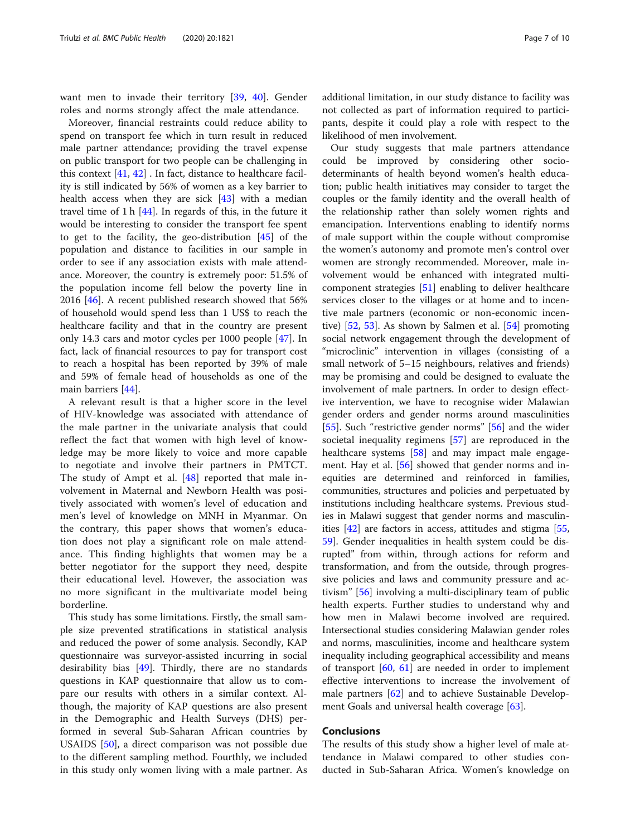want men to invade their territory [[39](#page-8-0), [40\]](#page-8-0). Gender roles and norms strongly affect the male attendance.

Moreover, financial restraints could reduce ability to spend on transport fee which in turn result in reduced male partner attendance; providing the travel expense on public transport for two people can be challenging in this context  $[41, 42]$  $[41, 42]$  $[41, 42]$  $[41, 42]$ . In fact, distance to healthcare facility is still indicated by 56% of women as a key barrier to health access when they are sick [\[43](#page-8-0)] with a median travel time of 1 h [\[44](#page-8-0)]. In regards of this, in the future it would be interesting to consider the transport fee spent to get to the facility, the geo-distribution [\[45\]](#page-8-0) of the population and distance to facilities in our sample in order to see if any association exists with male attendance. Moreover, the country is extremely poor: 51.5% of the population income fell below the poverty line in 2016 [[46\]](#page-8-0). A recent published research showed that 56% of household would spend less than 1 US\$ to reach the healthcare facility and that in the country are present only 14.3 cars and motor cycles per 1000 people [[47](#page-8-0)]. In fact, lack of financial resources to pay for transport cost to reach a hospital has been reported by 39% of male and 59% of female head of households as one of the main barriers [[44](#page-8-0)].

A relevant result is that a higher score in the level of HIV-knowledge was associated with attendance of the male partner in the univariate analysis that could reflect the fact that women with high level of knowledge may be more likely to voice and more capable to negotiate and involve their partners in PMTCT. The study of Ampt et al. [\[48](#page-8-0)] reported that male involvement in Maternal and Newborn Health was positively associated with women's level of education and men's level of knowledge on MNH in Myanmar. On the contrary, this paper shows that women's education does not play a significant role on male attendance. This finding highlights that women may be a better negotiator for the support they need, despite their educational level. However, the association was no more significant in the multivariate model being borderline.

This study has some limitations. Firstly, the small sample size prevented stratifications in statistical analysis and reduced the power of some analysis. Secondly, KAP questionnaire was surveyor-assisted incurring in social desirability bias [\[49](#page-8-0)]. Thirdly, there are no standards questions in KAP questionnaire that allow us to compare our results with others in a similar context. Although, the majority of KAP questions are also present in the Demographic and Health Surveys (DHS) performed in several Sub-Saharan African countries by USAIDS [\[50\]](#page-8-0), a direct comparison was not possible due to the different sampling method. Fourthly, we included in this study only women living with a male partner. As additional limitation, in our study distance to facility was not collected as part of information required to participants, despite it could play a role with respect to the likelihood of men involvement.

Our study suggests that male partners attendance could be improved by considering other sociodeterminants of health beyond women's health education; public health initiatives may consider to target the couples or the family identity and the overall health of the relationship rather than solely women rights and emancipation. Interventions enabling to identify norms of male support within the couple without compromise the women's autonomy and promote men's control over women are strongly recommended. Moreover, male involvement would be enhanced with integrated multicomponent strategies [\[51](#page-8-0)] enabling to deliver healthcare services closer to the villages or at home and to incentive male partners (economic or non-economic incentive) [[52,](#page-8-0) [53](#page-8-0)]. As shown by Salmen et al. [\[54\]](#page-8-0) promoting social network engagement through the development of "microclinic" intervention in villages (consisting of a small network of 5–15 neighbours, relatives and friends) may be promising and could be designed to evaluate the involvement of male partners. In order to design effective intervention, we have to recognise wider Malawian gender orders and gender norms around masculinities [[55\]](#page-8-0). Such "restrictive gender norms" [[56\]](#page-8-0) and the wider societal inequality regimens [\[57](#page-9-0)] are reproduced in the healthcare systems [[58\]](#page-9-0) and may impact male engagement. Hay et al. [[56\]](#page-8-0) showed that gender norms and inequities are determined and reinforced in families, communities, structures and policies and perpetuated by institutions including healthcare systems. Previous studies in Malawi suggest that gender norms and masculinities [\[42\]](#page-8-0) are factors in access, attitudes and stigma [[55](#page-8-0), [59\]](#page-9-0). Gender inequalities in health system could be disrupted" from within, through actions for reform and transformation, and from the outside, through progressive policies and laws and community pressure and activism" [\[56](#page-8-0)] involving a multi-disciplinary team of public health experts. Further studies to understand why and how men in Malawi become involved are required. Intersectional studies considering Malawian gender roles and norms, masculinities, income and healthcare system inequality including geographical accessibility and means of transport [[60](#page-9-0), [61](#page-9-0)] are needed in order to implement effective interventions to increase the involvement of male partners [\[62\]](#page-9-0) and to achieve Sustainable Development Goals and universal health coverage [\[63](#page-9-0)].

#### Conclusions

The results of this study show a higher level of male attendance in Malawi compared to other studies conducted in Sub-Saharan Africa. Women's knowledge on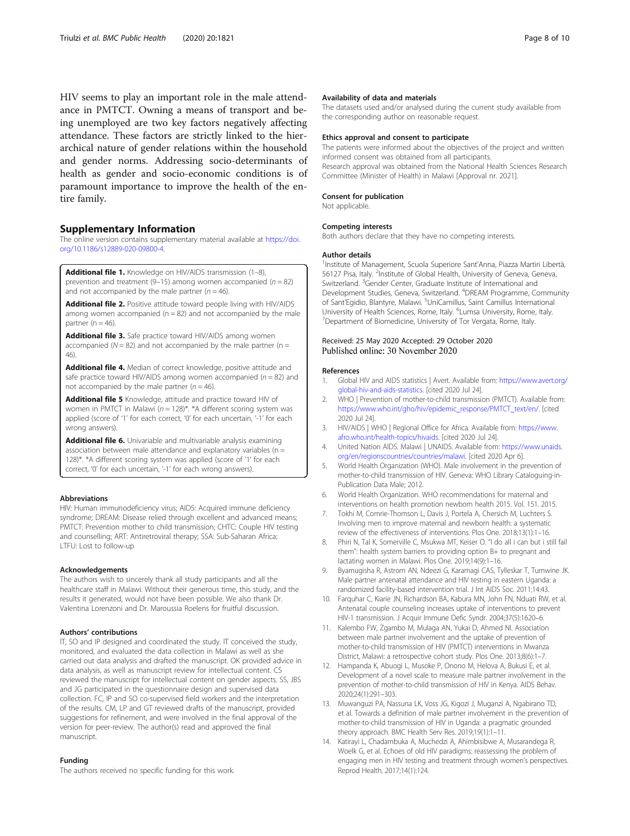<span id="page-7-0"></span>HIV seems to play an important role in the male attendance in PMTCT. Owning a means of transport and being unemployed are two key factors negatively affecting attendance. These factors are strictly linked to the hierarchical nature of gender relations within the household and gender norms. Addressing socio-determinants of health as gender and socio-economic conditions is of paramount importance to improve the health of the entire family.

#### Supplementary Information

The online version contains supplementary material available at [https://doi.](https://doi.org/10.1186/s12889-020-09800-4) [org/10.1186/s12889-020-09800-4.](https://doi.org/10.1186/s12889-020-09800-4)

Additional file 1. Knowledge on HIV/AIDS transmission (1-8) prevention and treatment (9–15) among women accompanied ( $n = 82$ ) and not accompanied by the male partner ( $n = 46$ ).

Additional file 2. Positive attitude toward people living with HIV/AIDS among women accompanied ( $n = 82$ ) and not accompanied by the male partner ( $n = 46$ ).

Additional file 3. Safe practice toward HIV/AIDS among women accompanied ( $N = 82$ ) and not accompanied by the male partner ( $n =$ 46).

Additional file 4. Median of correct knowledge, positive attitude and safe practice toward HIV/AIDS among women accompanied ( $n = 82$ ) and not accompanied by the male partner ( $n = 46$ ).

Additional file 5 Knowledge, attitude and practice toward HIV of women in PMTCT in Malawi ( $n = 128$ )\*. \*A different scoring system was applied (score of '1' for each correct, '0' for each uncertain, '-1' for each wrong answers).

Additional file 6. Univariable and multivariable analysis examining association between male attendance and explanatory variables (n = 128)\*. \*A different scoring system was applied (score of '1' for each correct, '0' for each uncertain, '-1' for each wrong answers).

#### Abbreviations

HIV: Human immunodeficiency virus; AIDS: Acquired immune deficiency syndrome; DREAM: Disease relied through excellent and advanced means; PMTCT: Prevention mother to child transmission; CHTC: Couple HIV testing and counselling; ART: Antiretroviral therapy; SSA: Sub-Saharan Africa; LTFU: Lost to follow-up

#### Acknowledgements

The authors wish to sincerely thank all study participants and all the healthcare staff in Malawi. Without their generous time, this study, and the results it generated, would not have been possible. We also thank Dr. Valentina Lorenzoni and Dr. Maroussia Roelens for fruitful discussion.

#### Authors' contributions

IT, SO and IP designed and coordinated the study. IT conceived the study, monitored, and evaluated the data collection in Malawi as well as she carried out data analysis and drafted the manuscript. OK provided advice in data analysis, as well as manuscript review for intellectual content. CS reviewed the manuscript for intellectual content on gender aspects. SS, JBS and JG participated in the questionnaire design and supervised data collection. FC, IP and SO co-supervised field workers and the interpretation of the results. CM, LP and GT reviewed drafts of the manuscript, provided suggestions for refinement, and were involved in the final approval of the version for peer-review. The author(s) read and approved the final manuscript.

#### Funding

The authors received no specific funding for this work.

#### Availability of data and materials

The datasets used and/or analysed during the current study available from the corresponding author on reasonable request.

#### Ethics approval and consent to participate

The patients were informed about the objectives of the project and written informed consent was obtained from all participants. Research approval was obtained from the National Health Sciences Research Committee (Minister of Health) in Malawi [Approval nr. 2021].

#### Consent for publication

Not applicable.

#### Competing interests

Both authors declare that they have no competing interests.

#### Author details

<sup>1</sup>Institute of Management, Scuola Superiore Sant'Anna, Piazza Martiri Libertà 56127 Pisa, Italy. <sup>2</sup>Institute of Global Health, University of Geneva, Geneva Switzerland. <sup>3</sup>Gender Center, Graduate Institute of International and Development Studies, Geneva, Switzerland. <sup>4</sup>DREAM Programme, Community of Sant'Egidio, Blantyre, Malawi. <sup>5</sup>UniCamillus, Saint Camillus International University of Health Sciences, Rome, Italy. <sup>6</sup> Lumsa University, Rome, Italy.<br><sup>7</sup> Department of Biomodicino, University of Tor Vergata, Rome, Italy. <sup>7</sup>Department of Biomedicine, University of Tor Vergata, Rome, Italy.

#### Received: 25 May 2020 Accepted: 29 October 2020 Published online: 30 November 2020

#### References

- 1. Global HIV and AIDS statistics | Avert. Available from: [https://www.avert.org/](https://www.avert.org/global-hiv-and-aids-statistics) [global-hiv-and-aids-statistics.](https://www.avert.org/global-hiv-and-aids-statistics) [cited 2020 Jul 24].
- 2. WHO | Prevention of mother-to-child transmission (PMTCT). Available from: [https://www.who.int/gho/hiv/epidemic\\_response/PMTCT\\_text/en/](https://www.who.int/gho/hiv/epidemic_response/PMTCT_text/en/). [cited 2020 Jul 24].
- 3. HIV/AIDS | WHO | Regional Office for Africa. Available from: [https://www.](https://www.afro.who.int/health-topics/hivaids) [afro.who.int/health-topics/hivaids](https://www.afro.who.int/health-topics/hivaids). [cited 2020 Jul 24].
- 4. United Nation AIDS. Malawi | UNAIDS. Available from: [https://www.unaids.](https://www.unaids.org/en/regionscountries/countries/malawi) [org/en/regionscountries/countries/malawi.](https://www.unaids.org/en/regionscountries/countries/malawi) [cited 2020 Apr 6].
- 5. World Health Organization (WHO). Male involvement in the prevention of mother-to-child transmission of HIV. Geneva: WHO Library Cataloguing-in-Publication Data Male; 2012.
- 6. World Health Organization. WHO recommendations for maternal and interventions on health promotion newborn health 2015. Vol. 151. 2015.
- 7. Tokhi M, Comrie-Thomson L, Davis J, Portela A, Chersich M, Luchters S. Involving men to improve maternal and newborn health: a systematic review of the effectiveness of interventions. Plos One. 2018;13(1):1–16.
- 8. Phiri N, Tal K, Somerville C, Msukwa MT, Keiser O. "I do all i can but i still fail them": health system barriers to providing option B+ to pregnant and lactating women in Malawi. Plos One. 2019;14(9):1–16.
- 9. Byamugisha R, Astrom AN, Ndeezi G, Karamagi CAS, Tylleskar T, Tumwine JK. Male partner antenatal attendance and HIV testing in eastern Uganda: a randomized facility-based intervention trial. J Int AIDS Soc. 2011;14:43.
- 10. Farquhar C, Kiarie JN, Richardson BA, Kabura MN, John FN, Nduati RW, et al. Antenatal couple counseling increases uptake of interventions to prevent HIV-1 transmission. J Acquir Immune Defic Syndr. 2004;37(5):1620–6.
- 11. Kalembo FW, Zgambo M, Mulaga AN, Yukai D, Ahmed NI. Association between male partner involvement and the uptake of prevention of mother-to-child transmission of HIV (PMTCT) interventions in Mwanza District, Malawi: a retrospective cohort study. Plos One. 2013;8(6):1–7.
- 12. Hampanda K, Abuogi L, Musoke P, Onono M, Helova A, Bukusi E, et al. Development of a novel scale to measure male partner involvement in the prevention of mother-to-child transmission of HIV in Kenya. AIDS Behav. 2020;24(1):291–303.
- 13. Muwanguzi PA, Nassuna LK, Voss JG, Kigozi J, Muganzi A, Ngabirano TD, et al. Towards a definition of male partner involvement in the prevention of mother-to-child transmission of HIV in Uganda: a pragmatic grounded theory approach. BMC Health Serv Res. 2019;19(1):1–11.
- 14. Katirayi L, Chadambuka A, Muchedzi A, Ahimbisibwe A, Musarandega R, Woelk G, et al. Echoes of old HIV paradigms: reassessing the problem of engaging men in HIV testing and treatment through women's perspectives. Reprod Health. 2017;14(1):124.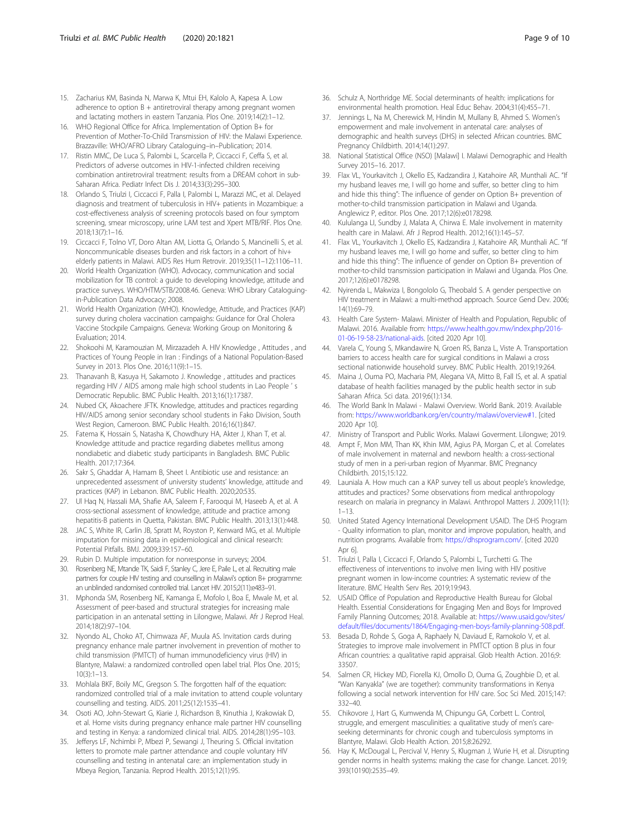- <span id="page-8-0"></span>15. Zacharius KM, Basinda N, Marwa K, Mtui EH, Kalolo A, Kapesa A. Low adherence to option  $B +$  antiretroviral therapy among pregnant women and lactating mothers in eastern Tanzania. Plos One. 2019;14(2):1–12.
- 16. WHO Regional Office for Africa. Implementation of Option B+ for Prevention of Mother-To-Child Transmission of HIV: the Malawi Experience. Brazzaville: WHO/AFRO Library Cataloguing–in–Publication; 2014.
- 17. Ristin MMC, De Luca S, Palombi L, Scarcella P, Ciccacci F, Ceffa S, et al. Predictors of adverse outcomes in HIV-1-infected children receiving combination antiretroviral treatment: results from a DREAM cohort in sub-Saharan Africa. Pediatr Infect Dis J. 2014;33(3):295–300.
- 18. Orlando S, Triulzi I, Ciccacci F, Palla I, Palombi L, Marazzi MC, et al. Delayed diagnosis and treatment of tuberculosis in HIV+ patients in Mozambique: a cost-effectiveness analysis of screening protocols based on four symptom screening, smear microscopy, urine LAM test and Xpert MTB/RIF. Plos One. 2018;13(7):1–16.
- 19. Ciccacci F, Tolno VT, Doro Altan AM, Liotta G, Orlando S, Mancinelli S, et al. Noncommunicable diseases burden and risk factors in a cohort of hiv+ elderly patients in Malawi. AIDS Res Hum Retrovir. 2019;35(11–12):1106–11.
- 20. World Health Organization (WHO). Advocacy, communication and social mobilization for TB control: a guide to developing knowledge, attitude and practice surveys. WHO/HTM/STB/2008.46. Geneva: WHO Library Cataloguingin-Publication Data Advocacy; 2008.
- 21. World Health Organization (WHO). Knowledge, Attitude, and Practices (KAP) survey during cholera vaccination campaighs: Guidance for Oral Cholera Vaccine Stockpile Campaigns. Geneva: Working Group on Monitoring & Evaluation; 2014.
- 22. Shokoohi M, Karamouzian M, Mirzazadeh A. HIV Knowledge , Attitudes , and Practices of Young People in Iran : Findings of a National Population-Based Survey in 2013. Plos One. 2016;11(9):1–15.
- 23. Thanavanh B, Kasuya H, Sakamoto J. Knowledge , attitudes and practices regarding HIV / AIDS among male high school students in Lao People ' s Democratic Republic. BMC Public Health. 2013;16(1):17387.
- 24. Nubed CK, Akoachere JFTK. Knowledge, attitudes and practices regarding HIV/AIDS among senior secondary school students in Fako Division, South West Region, Cameroon. BMC Public Health. 2016;16(1):847.
- 25. Fatema K, Hossain S, Natasha K, Chowdhury HA, Akter J, Khan T, et al. Knowledge attitude and practice regarding diabetes mellitus among nondiabetic and diabetic study participants in Bangladesh. BMC Public Health. 2017;17:364.
- 26. Sakr S, Ghaddar A, Hamam B, Sheet I. Antibiotic use and resistance: an unprecedented assessment of university students' knowledge, attitude and practices (KAP) in Lebanon. BMC Public Health. 2020;20:535.
- 27. Ul Haq N, Hassali MA, Shafie AA, Saleem F, Farooqui M, Haseeb A, et al. A cross-sectional assessment of knowledge, attitude and practice among hepatitis-B patients in Quetta, Pakistan. BMC Public Health. 2013;13(1):448.
- 28. JAC S, White IR, Carlin JB, Spratt M, Royston P, Kenward MG, et al. Multiple imputation for missing data in epidemiological and clinical research: Potential Pitfalls. BMJ. 2009;339:157–60.
- 29. Rubin D. Multiple imputation for nonresponse in surveys; 2004.
- 30. Rosenberg NE, Mtande TK, Saidi F, Stanley C, Jere E, Paile L, et al. Recruiting male partners for couple HIV testing and counselling in Malawi's option B+ programme: an unblinded randomised controlled trial. Lancet HIV. 2015;2(11):e483–91.
- 31. Mphonda SM, Rosenberg NE, Kamanga E, Mofolo I, Boa E, Mwale M, et al. Assessment of peer-based and structural strategies for increasing male participation in an antenatal setting in Lilongwe, Malawi. Afr J Reprod Heal. 2014;18(2):97–104.
- 32. Nyondo AL, Choko AT, Chimwaza AF, Muula AS. Invitation cards during pregnancy enhance male partner involvement in prevention of mother to child transmission (PMTCT) of human immunodeficiency virus (HIV) in Blantyre, Malawi: a randomized controlled open label trial. Plos One. 2015; 10(3):1–13.
- 33. Mohlala BKF, Boily MC, Gregson S. The forgotten half of the equation: randomized controlled trial of a male invitation to attend couple voluntary counselling and testing. AIDS. 2011;25(12):1535–41.
- 34. Osoti AO, John-Stewart G, Kiarie J, Richardson B, Kinuthia J, Krakowiak D, et al. Home visits during pregnancy enhance male partner HIV counselling and testing in Kenya: a randomized clinical trial. AIDS. 2014;28(1):95–103.
- 35. Jefferys LF, Nchimbi P, Mbezi P, Sewangi J, Theuring S. Official invitation letters to promote male partner attendance and couple voluntary HIV counselling and testing in antenatal care: an implementation study in Mbeya Region, Tanzania. Reprod Health. 2015;12(1):95.
- 36. Schulz A, Northridge ME. Social determinants of health: implications for environmental health promotion. Heal Educ Behav. 2004;31(4):455–71.
- 37. Jennings L, Na M, Cherewick M, Hindin M, Mullany B, Ahmed S. Women's empowerment and male involvement in antenatal care: analyses of demographic and health surveys (DHS) in selected African countries. BMC Pregnancy Childbirth. 2014;14(1):297.
- 38. National Statistical Office (NSO) [Malawi] I. Malawi Demographic and Health Survey 2015–16. 2017.
- 39. Flax VL, Yourkavitch J, Okello ES, Kadzandira J, Katahoire AR, Munthali AC. "If my husband leaves me, I will go home and suffer, so better cling to him and hide this thing": The influence of gender on Option B+ prevention of mother-to-child transmission participation in Malawi and Uganda. Anglewicz P, editor. Plos One. 2017;12(6):e0178298.
- 40. Kululanga LI, Sundby J, Malata A, Chirwa E. Male involvement in maternity health care in Malawi. Afr J Reprod Health. 2012;16(1):145–57.
- 41. Flax VL, Yourkavitch J, Okello ES, Kadzandira J, Katahoire AR, Munthali AC. "If my husband leaves me, I will go home and suffer, so better cling to him and hide this thing": The influence of gender on Option B+ prevention of mother-to-child transmission participation in Malawi and Uganda. Plos One. 2017;12(6):e0178298.
- 42. Nyirenda L, Makwiza I, Bongololo G, Theobald S. A gender perspective on HIV treatment in Malawi: a multi-method approach. Source Gend Dev. 2006; 14(1):69–79.
- 43. Health Care System- Malawi. Minister of Health and Population, Republic of Malawi. 2016. Available from: [https://www.health.gov.mw/index.php/2016-](https://www.health.gov.mw/index.php/2016-01-06-19-58-23/national-aids) [01-06-19-58-23/national-aids.](https://www.health.gov.mw/index.php/2016-01-06-19-58-23/national-aids) [cited 2020 Apr 10].
- 44. Varela C, Young S, Mkandawire N, Groen RS, Banza L, Viste A. Transportation barriers to access health care for surgical conditions in Malawi a cross sectional nationwide household survey. BMC Public Health. 2019;19:264.
- 45. Maina J, Ouma PO, Macharia PM, Alegana VA, Mitto B, Fall IS, et al. A spatial database of health facilities managed by the public health sector in sub Saharan Africa. Sci data. 2019;6(1):134.
- 46. The World Bank In Malawi Malawi Overview. World Bank. 2019. Available from: <https://www.worldbank.org/en/country/malawi/overview#1>. [cited 2020 Apr 10].
- 47. Ministry of Transport and Public Works. Malawi Goverment. Lilongwe; 2019.
- 48. Ampt F, Mon MM, Than KK, Khin MM, Agius PA, Morgan C, et al. Correlates of male involvement in maternal and newborn health: a cross-sectional study of men in a peri-urban region of Myanmar. BMC Pregnancy Childbirth. 2015;15:122.
- 49. Launiala A. How much can a KAP survey tell us about people's knowledge, attitudes and practices? Some observations from medical anthropology research on malaria in pregnancy in Malawi. Anthropol Matters J. 2009;11(1): 1–13.
- 50. United Stated Agency International Development USAID. The DHS Program - Quality information to plan, monitor and improve population, health, and nutrition programs. Available from: <https://dhsprogram.com/>. [cited 2020 Apr 6].
- 51. Triulzi I, Palla I, Ciccacci F, Orlando S, Palombi L, Turchetti G. The effectiveness of interventions to involve men living with HIV positive pregnant women in low-income countries: A systematic review of the literature. BMC Health Serv Res. 2019;19:943.
- 52. USAID Office of Population and Reproductive Health Bureau for Global Health. Essential Considerations for Engaging Men and Boys for Improved Family Planning Outcomes; 2018. Available at: [https://www.usaid.gov/sites/](https://www.usaid.gov/sites/default/files/documents/1864/Engaging-men-boys-family-planning-508.pdf) [default/files/documents/1864/Engaging-men-boys-family-planning-508.pdf.](https://www.usaid.gov/sites/default/files/documents/1864/Engaging-men-boys-family-planning-508.pdf)
- 53. Besada D, Rohde S, Goga A, Raphaely N, Daviaud E, Ramokolo V, et al. Strategies to improve male involvement in PMTCT option B plus in four African countries: a qualitative rapid appraisal. Glob Health Action. 2016;9: 33507.
- 54. Salmen CR, Hickey MD, Fiorella KJ, Omollo D, Ouma G, Zoughbie D, et al. "Wan Kanyakla" (we are together): community transformations in Kenya following a social network intervention for HIV care. Soc Sci Med. 2015;147: 332–40.
- 55. Chikovore J, Hart G, Kumwenda M, Chipungu GA, Corbett L. Control, struggle, and emergent masculinities: a qualitative study of men's careseeking determinants for chronic cough and tuberculosis symptoms in Blantyre, Malawi. Glob Health Action. 2015;8:26292.
- 56. Hay K, McDougal L, Percival V, Henry S, Klugman J, Wurie H, et al. Disrupting gender norms in health systems: making the case for change. Lancet. 2019; 393(10190):2535–49.